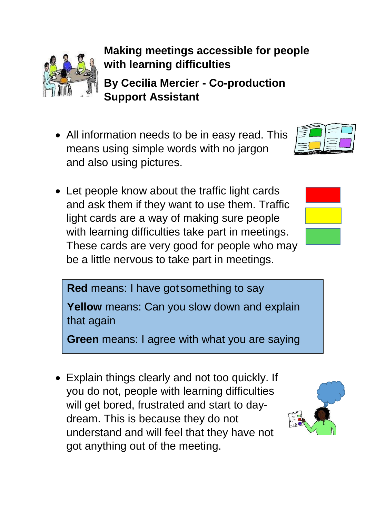

## **Making meetings accessible for people with learning difficulties**

**By Cecilia Mercier - Co-production Support Assistant**

- All information needs to be in easy read. This means using simple words with no jargon and also using pictures.
- Let people know about the traffic light cards and ask them if they want to use them. Traffic light cards are a way of making sure people with learning difficulties take part in meetings. These cards are very good for people who may be a little nervous to take part in meetings.





**Red** means: I have got something to say

**Yellow** means: Can you slow down and explain that again

**Green** means: I agree with what you are saying

 Explain things clearly and not too quickly. If you do not, people with learning difficulties will get bored, frustrated and start to daydream. This is because they do not understand and will feel that they have not got anything out of the meeting.

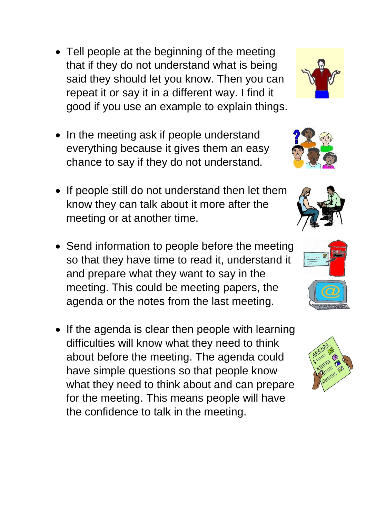- Tell people at the beginning of the meeting that if they do not understand what is being said they should let you know. Then you can repeat it or say it in a different way. I find it good if you use an example to explain things.
- In the meeting ask if people understand everything because it gives them an easy chance to say if they do not understand.
- If people still do not understand then let them know they can talk about it more after the meeting or at another time.
- Send information to people before the meeting so that they have time to read it, understand it and prepare what they want to say in the meeting. This could be meeting papers, the agenda or the notes from the last meeting.
- If the agenda is clear then people with learning difficulties will know what they need to think about before the meeting. The agenda could have simple questions so that people know what they need to think about and can prepare for the meeting. This means people will have the confidence to talk in the meeting.